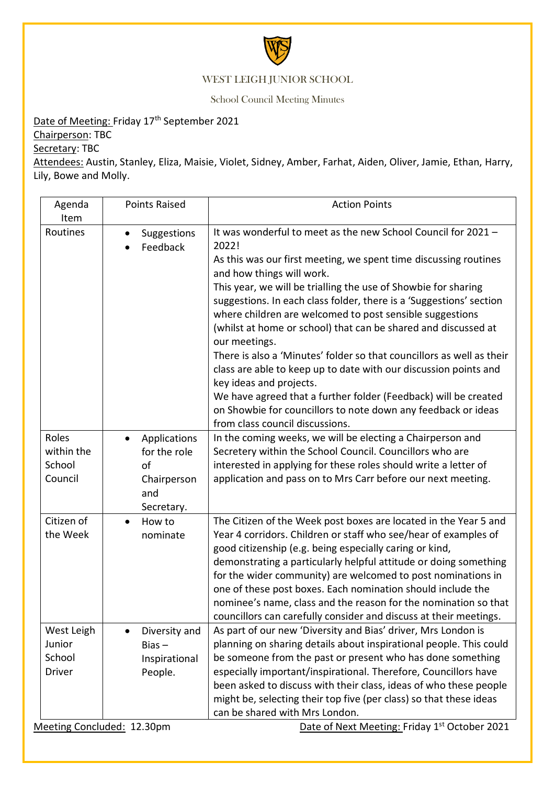

## WEST LEIGH JUNIOR SCHOOL

School Council Meeting Minutes

## Date of Meeting: Friday 17<sup>th</sup> September 2021

Chairperson: TBC

Secretary: TBC

Attendees: Austin, Stanley, Eliza, Maisie, Violet, Sidney, Amber, Farhat, Aiden, Oliver, Jamie, Ethan, Harry, Lily, Bowe and Molly.

| Agenda<br>Item                                  | <b>Points Raised</b>                                                   | <b>Action Points</b>                                                                                                                                                                                                                                                                                                                                                                                                                                                                                                                      |
|-------------------------------------------------|------------------------------------------------------------------------|-------------------------------------------------------------------------------------------------------------------------------------------------------------------------------------------------------------------------------------------------------------------------------------------------------------------------------------------------------------------------------------------------------------------------------------------------------------------------------------------------------------------------------------------|
| Routines                                        | Suggestions<br>$\bullet$<br>Feedback                                   | It was wonderful to meet as the new School Council for 2021 -<br>2022!                                                                                                                                                                                                                                                                                                                                                                                                                                                                    |
|                                                 |                                                                        | As this was our first meeting, we spent time discussing routines<br>and how things will work.                                                                                                                                                                                                                                                                                                                                                                                                                                             |
|                                                 |                                                                        | This year, we will be trialling the use of Showbie for sharing<br>suggestions. In each class folder, there is a 'Suggestions' section<br>where children are welcomed to post sensible suggestions<br>(whilst at home or school) that can be shared and discussed at                                                                                                                                                                                                                                                                       |
|                                                 |                                                                        | our meetings.<br>There is also a 'Minutes' folder so that councillors as well as their<br>class are able to keep up to date with our discussion points and<br>key ideas and projects.                                                                                                                                                                                                                                                                                                                                                     |
|                                                 |                                                                        | We have agreed that a further folder (Feedback) will be created<br>on Showbie for councillors to note down any feedback or ideas<br>from class council discussions.                                                                                                                                                                                                                                                                                                                                                                       |
| Roles<br>within the<br>School<br>Council        | Applications<br>for the role<br>of<br>Chairperson<br>and<br>Secretary. | In the coming weeks, we will be electing a Chairperson and<br>Secretery within the School Council. Councillors who are<br>interested in applying for these roles should write a letter of<br>application and pass on to Mrs Carr before our next meeting.                                                                                                                                                                                                                                                                                 |
| Citizen of<br>the Week                          | How to<br>nominate                                                     | The Citizen of the Week post boxes are located in the Year 5 and<br>Year 4 corridors. Children or staff who see/hear of examples of<br>good citizenship (e.g. being especially caring or kind,<br>demonstrating a particularly helpful attitude or doing something<br>for the wider community) are welcomed to post nominations in<br>one of these post boxes. Each nomination should include the<br>nominee's name, class and the reason for the nomination so that<br>councillors can carefully consider and discuss at their meetings. |
| West Leigh<br>Junior<br>School<br><b>Driver</b> | Diversity and<br>$Bias -$<br>Inspirational<br>People.                  | As part of our new 'Diversity and Bias' driver, Mrs London is<br>planning on sharing details about inspirational people. This could<br>be someone from the past or present who has done something<br>especially important/inspirational. Therefore, Councillors have<br>been asked to discuss with their class, ideas of who these people<br>might be, selecting their top five (per class) so that these ideas<br>can be shared with Mrs London.                                                                                         |

Meeting Concluded: 12.30pm

Date of Next Meeting: Friday 1<sup>st</sup> October 2021